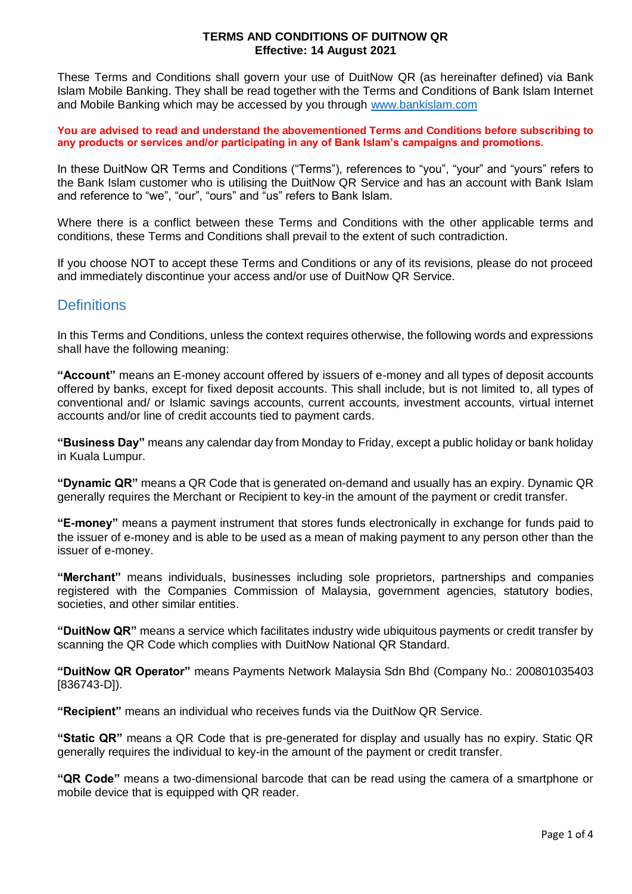These Terms and Conditions shall govern your use of DuitNow QR (as hereinafter defined) via Bank Islam Mobile Banking. They shall be read together with the Terms and Conditions of Bank Islam Internet and Mobile Banking which may be accessed by you through [www.bankislam.com](http://www.bankislam.com/)

**You are advised to read and understand the abovementioned Terms and Conditions before subscribing to any products or services and/or participating in any of Bank Islam's campaigns and promotions.**

In these DuitNow QR Terms and Conditions ("Terms"), references to "you", "your" and "yours" refers to the Bank Islam customer who is utilising the DuitNow QR Service and has an account with Bank Islam and reference to "we", "our", "ours" and "us" refers to Bank Islam.

Where there is a conflict between these Terms and Conditions with the other applicable terms and conditions, these Terms and Conditions shall prevail to the extent of such contradiction.

If you choose NOT to accept these Terms and Conditions or any of its revisions, please do not proceed and immediately discontinue your access and/or use of DuitNow QR Service.

### **Definitions**

In this Terms and Conditions, unless the context requires otherwise, the following words and expressions shall have the following meaning:

**"Account"** means an E-money account offered by issuers of e-money and all types of deposit accounts offered by banks, except for fixed deposit accounts. This shall include, but is not limited to, all types of conventional and/ or Islamic savings accounts, current accounts, investment accounts, virtual internet accounts and/or line of credit accounts tied to payment cards.

**"Business Day"** means any calendar day from Monday to Friday, except a public holiday or bank holiday in Kuala Lumpur.

**"Dynamic QR"** means a QR Code that is generated on-demand and usually has an expiry. Dynamic QR generally requires the Merchant or Recipient to key-in the amount of the payment or credit transfer.

**"E-money"** means a payment instrument that stores funds electronically in exchange for funds paid to the issuer of e-money and is able to be used as a mean of making payment to any person other than the issuer of e-money.

**"Merchant"** means individuals, businesses including sole proprietors, partnerships and companies registered with the Companies Commission of Malaysia, government agencies, statutory bodies, societies, and other similar entities.

**"DuitNow QR"** means a service which facilitates industry wide ubiquitous payments or credit transfer by scanning the QR Code which complies with DuitNow National QR Standard.

**"DuitNow QR Operator"** means Payments Network Malaysia Sdn Bhd (Company No.: 200801035403 [836743-D]).

**"Recipient"** means an individual who receives funds via the DuitNow QR Service.

**"Static QR"** means a QR Code that is pre-generated for display and usually has no expiry. Static QR generally requires the individual to key-in the amount of the payment or credit transfer.

**"QR Code"** means a two-dimensional barcode that can be read using the camera of a smartphone or mobile device that is equipped with QR reader.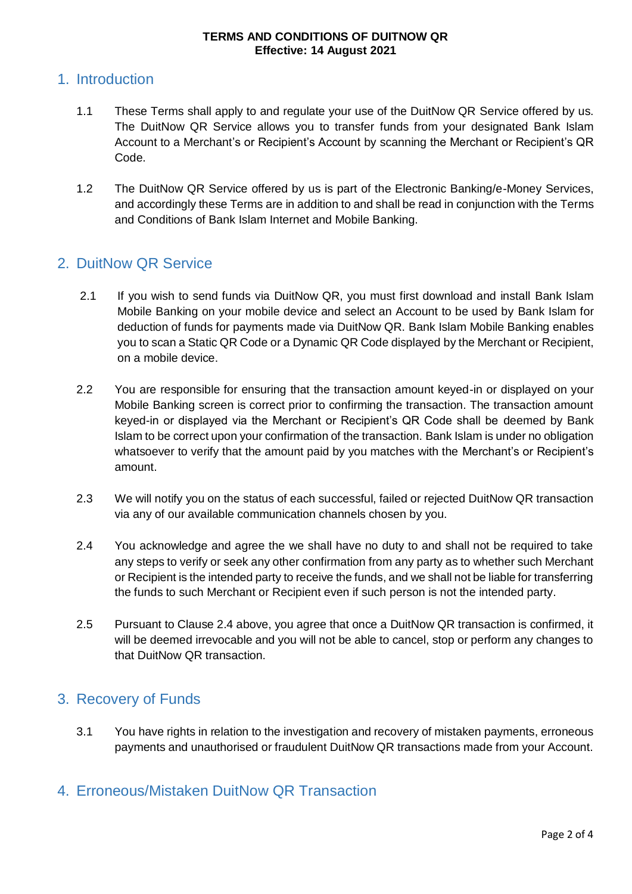### 1. Introduction

- 1.1 These Terms shall apply to and regulate your use of the DuitNow QR Service offered by us. The DuitNow QR Service allows you to transfer funds from your designated Bank Islam Account to a Merchant's or Recipient's Account by scanning the Merchant or Recipient's QR Code.
- 1.2 The DuitNow QR Service offered by us is part of the Electronic Banking/e-Money Services, and accordingly these Terms are in addition to and shall be read in conjunction with the Terms and Conditions of Bank Islam Internet and Mobile Banking.

## 2. DuitNow QR Service

- 2.1 If you wish to send funds via DuitNow QR, you must first download and install Bank Islam Mobile Banking on your mobile device and select an Account to be used by Bank Islam for deduction of funds for payments made via DuitNow QR. Bank Islam Mobile Banking enables you to scan a Static QR Code or a Dynamic QR Code displayed by the Merchant or Recipient, on a mobile device.
- 2.2 You are responsible for ensuring that the transaction amount keyed-in or displayed on your Mobile Banking screen is correct prior to confirming the transaction. The transaction amount keyed-in or displayed via the Merchant or Recipient's QR Code shall be deemed by Bank Islam to be correct upon your confirmation of the transaction. Bank Islam is under no obligation whatsoever to verify that the amount paid by you matches with the Merchant's or Recipient's amount.
- 2.3 We will notify you on the status of each successful, failed or rejected DuitNow QR transaction via any of our available communication channels chosen by you.
- 2.4 You acknowledge and agree the we shall have no duty to and shall not be required to take any steps to verify or seek any other confirmation from any party as to whether such Merchant or Recipient is the intended party to receive the funds, and we shall not be liable for transferring the funds to such Merchant or Recipient even if such person is not the intended party.
- 2.5 Pursuant to Clause 2.4 above, you agree that once a DuitNow QR transaction is confirmed, it will be deemed irrevocable and you will not be able to cancel, stop or perform any changes to that DuitNow QR transaction.

## 3. Recovery of Funds

3.1 You have rights in relation to the investigation and recovery of mistaken payments, erroneous payments and unauthorised or fraudulent DuitNow QR transactions made from your Account.

## 4. Erroneous/Mistaken DuitNow QR Transaction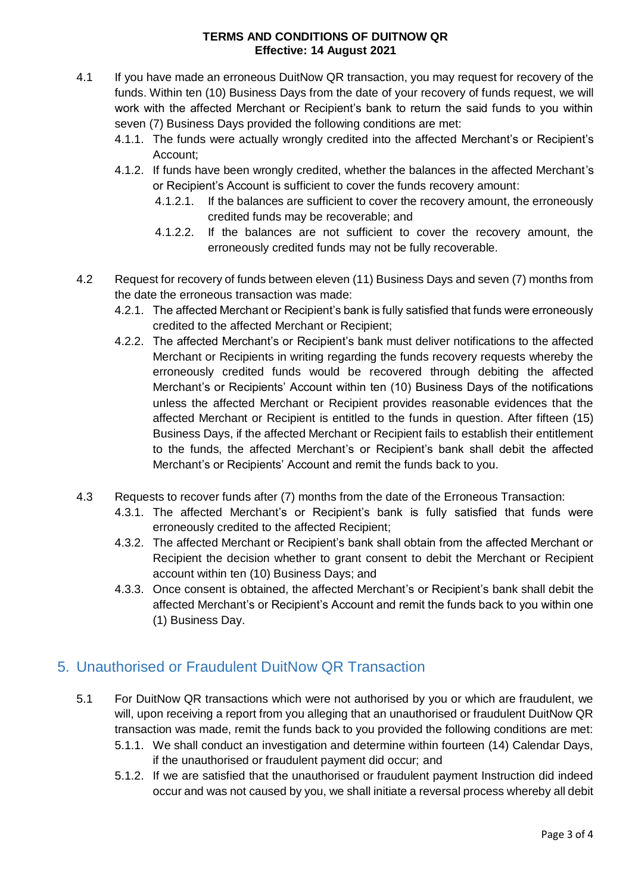- 4.1 If you have made an erroneous DuitNow QR transaction, you may request for recovery of the funds. Within ten (10) Business Days from the date of your recovery of funds request, we will work with the affected Merchant or Recipient's bank to return the said funds to you within seven (7) Business Days provided the following conditions are met:
	- 4.1.1. The funds were actually wrongly credited into the affected Merchant's or Recipient's Account;
	- 4.1.2. If funds have been wrongly credited, whether the balances in the affected Merchant's or Recipient's Account is sufficient to cover the funds recovery amount:
		- 4.1.2.1. If the balances are sufficient to cover the recovery amount, the erroneously credited funds may be recoverable; and
		- 4.1.2.2. If the balances are not sufficient to cover the recovery amount, the erroneously credited funds may not be fully recoverable.
- 4.2 Request for recovery of funds between eleven (11) Business Days and seven (7) months from the date the erroneous transaction was made:
	- 4.2.1. The affected Merchant or Recipient's bank is fully satisfied that funds were erroneously credited to the affected Merchant or Recipient;
	- 4.2.2. The affected Merchant's or Recipient's bank must deliver notifications to the affected Merchant or Recipients in writing regarding the funds recovery requests whereby the erroneously credited funds would be recovered through debiting the affected Merchant's or Recipients' Account within ten (10) Business Days of the notifications unless the affected Merchant or Recipient provides reasonable evidences that the affected Merchant or Recipient is entitled to the funds in question. After fifteen (15) Business Days, if the affected Merchant or Recipient fails to establish their entitlement to the funds, the affected Merchant's or Recipient's bank shall debit the affected Merchant's or Recipients' Account and remit the funds back to you.
- 4.3 Requests to recover funds after (7) months from the date of the Erroneous Transaction:
	- 4.3.1. The affected Merchant's or Recipient's bank is fully satisfied that funds were erroneously credited to the affected Recipient;
	- 4.3.2. The affected Merchant or Recipient's bank shall obtain from the affected Merchant or Recipient the decision whether to grant consent to debit the Merchant or Recipient account within ten (10) Business Days; and
	- 4.3.3. Once consent is obtained, the affected Merchant's or Recipient's bank shall debit the affected Merchant's or Recipient's Account and remit the funds back to you within one (1) Business Day.

## 5. Unauthorised or Fraudulent DuitNow QR Transaction

- 5.1 For DuitNow QR transactions which were not authorised by you or which are fraudulent, we will, upon receiving a report from you alleging that an unauthorised or fraudulent DuitNow QR transaction was made, remit the funds back to you provided the following conditions are met:
	- 5.1.1. We shall conduct an investigation and determine within fourteen (14) Calendar Days, if the unauthorised or fraudulent payment did occur; and
	- 5.1.2. If we are satisfied that the unauthorised or fraudulent payment Instruction did indeed occur and was not caused by you, we shall initiate a reversal process whereby all debit